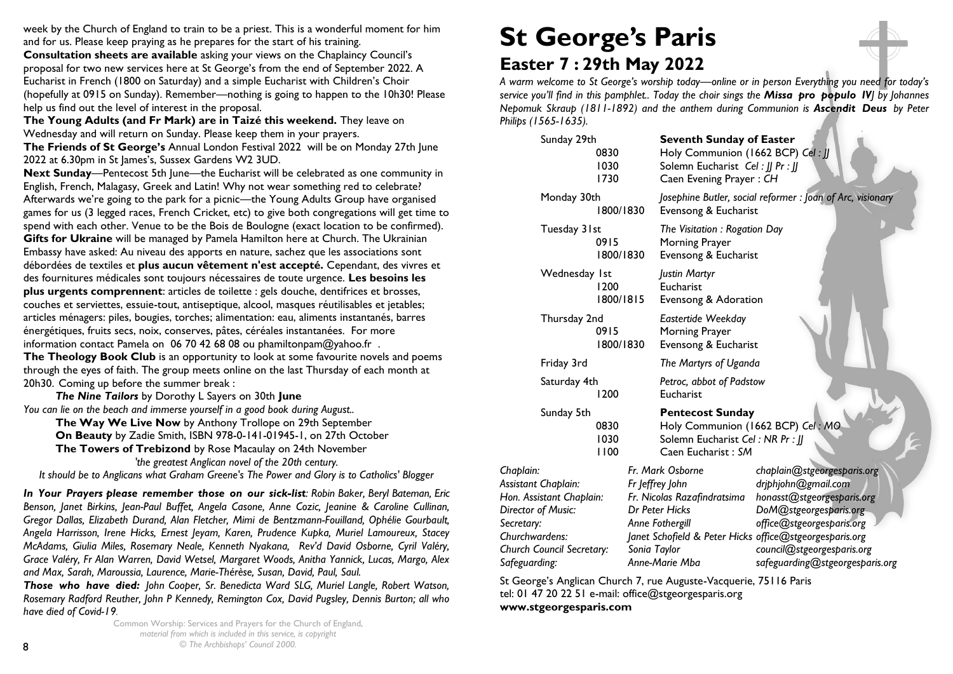week by the Church of England to train to be a priest. This is a wonderful moment for him and for us. Please keep praying as he prepares for the start of his training. **Consultation sheets are available** asking your views on the Chaplaincy Council's proposal for two new services here at St George's from the end of September 2022. A Eucharist in French (1800 on Saturday) and a simple Eucharist with Children's Choir (hopefully at 0915 on Sunday). Remember—nothing is going to happen to the 10h30! Please help us find out the level of interest in the proposal.

**The Young Adults (and Fr Mark) are in Taizé this weekend.** They leave on Wednesday and will return on Sunday. Please keep them in your prayers.

**The Friends of St George's** Annual London Festival 2022 will be on Monday 27th June 2022 at 6.30pm in St James's, Sussex Gardens W2 3UD.

**Next Sunday**—Pentecost 5th June—the Eucharist will be celebrated as one community in English, French, Malagasy, Greek and Latin! Why not wear something red to celebrate? Afterwards we're going to the park for a picnic—the Young Adults Group have organised games for us (3 legged races, French Cricket, etc) to give both congregations will get time to spend with each other. Venue to be the Bois de Boulogne (exact location to be confirmed). **Gifts for Ukraine** will be managed by Pamela Hamilton here at Church. The Ukrainian Embassy have asked: Au niveau des apports en nature, sachez que les associations sont débordées de textiles et **plus aucun vêtement n'est accepté.** Cependant, des vivres et des fournitures médicales sont toujours nécessaires de toute urgence. **Les besoins les plus urgents comprennent**: articles de toilette : gels douche, dentifrices et brosses, couches et serviettes, essuie-tout, antiseptique, alcool, masques réutilisables et jetables; articles ménagers: piles, bougies, torches; alimentation: eau, aliments instantanés, barres énergétiques, fruits secs, noix, conserves, pâtes, céréales instantanées. For more information contact Pamela on 06 70 42 68 08 ou phamiltonpam@yahoo.fr . **The Theology Book Club** is an opportunity to look at some favourite novels and poems through the eyes of faith. The group meets online on the last Thursday of each month at 20h30. Coming up before the summer break :

*The Nine Tailors* by Dorothy L Sayers on 30th **June** *You can lie on the beach and immerse yourself in a good book during August..*

**The Way We Live Now** by Anthony Trollope on 29th September **On Beauty** by Zadie Smith, ISBN 978-0-141-01945-1, on 27th October **The Towers of Trebizond** by Rose Macaulay on 24th November *'the greatest Anglican novel of the 20th century. It should be to Anglicans what Graham Greene's The Power and Glory is to Catholics' Blogger* 

*In Your Prayers please remember those on our sick-list: Robin Baker, Beryl Bateman, Eric Benson, Janet Birkins, Jean-Paul Buffet, Angela Casone, Anne Cozic, Jeanine & Caroline Cullinan, Gregor Dallas, Elizabeth Durand, Alan Fletcher, Mimi de Bentzmann-Fouilland, Ophélie Gourbault, Angela Harrisson, Irene Hicks, Ernest Jeyam, Karen, Prudence Kupka, Muriel Lamoureux, Stacey McAdams, Giulia Miles, Rosemary Neale, Kenneth Nyakana, Rev'd David Osborne, Cyril Valéry, Grace Valéry, Fr Alan Warren, David Wetsel, Margaret Woods, Anitha Yannick, Lucas, Margo, Alex and Max, Sarah, Maroussia, Laurence, Marie-Thérèse, Susan, David, Paul, Saul.* 

*Those who have died: John Cooper, Sr. Benedicta Ward SLG, Muriel Langle, Robert Watson, Rosemary Radford Reuther, John P Kennedy, Remington Cox, David Pugsley, Dennis Burton; all who have died of Covid-19.*

Common Worship: Services and Prayers for the Church of England, *material from which is included in this service, is copyright © The Archbishops' Council 2000.* 

# **St George's Paris Easter 7 : 29th May 2022**

*A warm welcome to St George's worship today—online or in person Everything you need for today's service you'll find in this pamphlet.. Today the choir sings the Missa pro populo IVJ by Johannes Nepomuk Skraup (1811-1892) and the anthem during Communion is Ascendit Deus by Peter Philips (1565-1635).*

|                                                                                                                                                        | Sunday 29th<br>0830<br>1030<br>1730 |                                 | <b>Seventh Sunday of Easter</b><br>Holy Communion (1662 BCP) Cel: JJ<br>Solemn Eucharist Cel:    Pr :   <br>Caen Evening Prayer: CH |                                                                                                                                                                                                                                  |  |  |  |  |
|--------------------------------------------------------------------------------------------------------------------------------------------------------|-------------------------------------|---------------------------------|-------------------------------------------------------------------------------------------------------------------------------------|----------------------------------------------------------------------------------------------------------------------------------------------------------------------------------------------------------------------------------|--|--|--|--|
| Monday 30th                                                                                                                                            | 1800/1830                           |                                 | Josephine Butler, social reformer: Joan of Arc, visionary<br>Evensong & Eucharist                                                   |                                                                                                                                                                                                                                  |  |  |  |  |
| Tuesday 31st                                                                                                                                           | 0915<br>1800/1830                   |                                 | The Visitation: Rogation Day<br>Morning Prayer<br>Evensong & Eucharist                                                              |                                                                                                                                                                                                                                  |  |  |  |  |
| Wednesday 1st<br>1200<br>1800/1815                                                                                                                     |                                     |                                 | Justin Martyr<br>Eucharist<br>Evensong & Adoration                                                                                  |                                                                                                                                                                                                                                  |  |  |  |  |
| Thursday 2nd                                                                                                                                           | 0915<br>1800/1830                   |                                 | Eastertide Weekday<br>Morning Prayer<br>Evensong & Eucharist                                                                        |                                                                                                                                                                                                                                  |  |  |  |  |
| Friday 3rd                                                                                                                                             |                                     |                                 | The Martyrs of Uganda<br>Petroc, abbot of Padstow<br>Eucharist                                                                      |                                                                                                                                                                                                                                  |  |  |  |  |
| Saturday 4th                                                                                                                                           | 1200                                |                                 |                                                                                                                                     |                                                                                                                                                                                                                                  |  |  |  |  |
| Sunday 5th                                                                                                                                             | 0830<br>1030<br>1100                |                                 | <b>Pentecost Sunday</b><br>Holy Communion (1662 BCP) Cel: MO<br>Solemn Eucharist Cel: NR Pr: JJ<br>Caen Eucharist: SM               |                                                                                                                                                                                                                                  |  |  |  |  |
| Chaplain:<br>Assistant Chaplain:<br>Hon. Assistant Chaplain:<br>Director of Music:<br>Secretary:<br>Churchwardens:<br><b>Church Council Secretary:</b> |                                     | Fr Jeffrey John<br>Sonia Taylor | Fr. Mark Osborne<br>Fr. Nicolas Razafindratsima<br>Dr Peter Hicks<br>Anne Fothergill                                                | chaplain@stgeorgesparis.org<br>driphjohn@gmail.com<br>honasst@stgeorgesparis.org<br>DoM@stgeorgesparis.org<br>office@stgeorgesparis.org<br>Janet Schofield & Peter Hicks office@stgeorgesparis.org<br>council@stgeorgesparis.org |  |  |  |  |
| Safeguarding:                                                                                                                                          |                                     |                                 | Anne-Marie Mba                                                                                                                      | safeguarding@stgeorgesparis.org                                                                                                                                                                                                  |  |  |  |  |

St George's Anglican Church 7, rue Auguste-Vacquerie, 75116 Paris tel: 01 47 20 22 51 e-mail: [office@stgeorgesparis.org](mailto:office@stgeorgesparis.com)  **[www.stgeorgesparis.com](http://www.stgeorgesparis.com/)**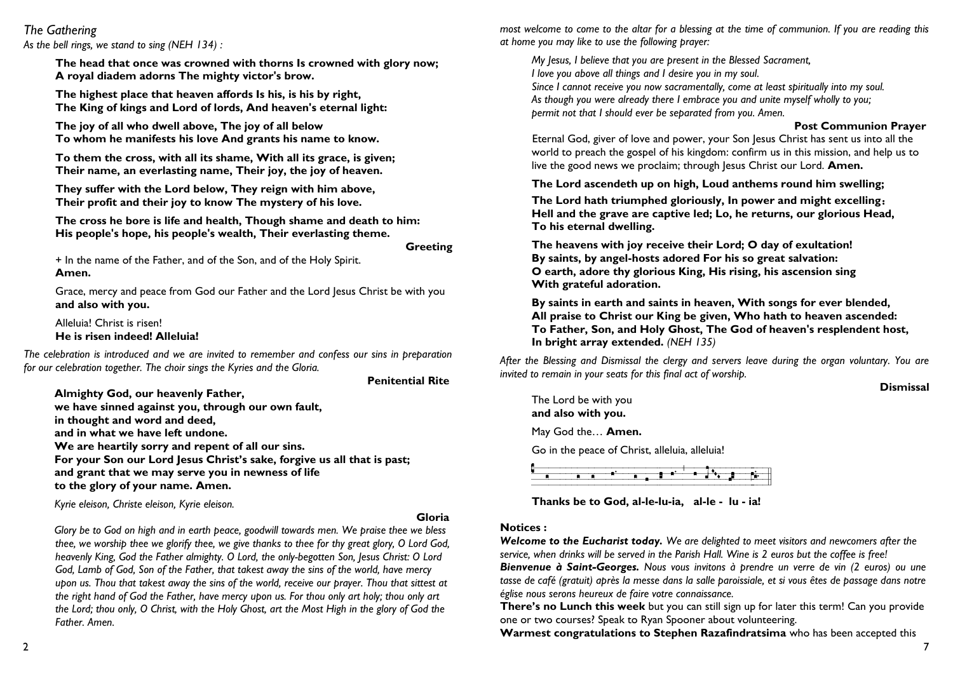# *The Gathering*

*As the bell rings, we stand to sing (NEH 134) :*

**The head that once was crowned with thorns Is crowned with glory now; A royal diadem adorns The mighty victor's brow.**

**The highest place that heaven affords Is his, is his by right, The King of kings and Lord of lords, And heaven's eternal light:**

**The joy of all who dwell above, The joy of all below To whom he manifests his love And grants his name to know.**

**To them the cross, with all its shame, With all its grace, is given; Their name, an everlasting name, Their joy, the joy of heaven.**

**They suffer with the Lord below, They reign with him above, Their profit and their joy to know The mystery of his love.**

**The cross he bore is life and health, Though shame and death to him: His people's hope, his people's wealth, Their everlasting theme.**

**Greeting**

+ In the name of the Father, and of the Son, and of the Holy Spirit. **Amen.**

Grace, mercy and peace from God our Father and the Lord Jesus Christ be with you **and also with you.**

Alleluia! Christ is risen! **He is risen indeed! Alleluia!**

*The celebration is introduced and we are invited to remember and confess our sins in preparation for our celebration together. The choir sings the Kyries and the Gloria.*

**Penitential Rite**

**Almighty God, our heavenly Father, we have sinned against you, through our own fault, in thought and word and deed, and in what we have left undone. We are heartily sorry and repent of all our sins. For your Son our Lord Jesus Christ's sake, forgive us all that is past; and grant that we may serve you in newness of life to the glory of your name. Amen.**

*Kyrie eleison, Christe eleison, Kyrie eleison.* 

#### **Gloria**

*Glory be to God on high and in earth peace, goodwill towards men. We praise thee we bless thee, we worship thee we glorify thee, we give thanks to thee for thy great glory, O Lord God, heavenly King, God the Father almighty. O Lord, the only-begotten Son, Jesus Christ: O Lord God, Lamb of God, Son of the Father, that takest away the sins of the world, have mercy upon us. Thou that takest away the sins of the world, receive our prayer. Thou that sittest at the right hand of God the Father, have mercy upon us. For thou only art holy; thou only art the Lord; thou only, O Christ, with the Holy Ghost, art the Most High in the glory of God the Father. Amen.*

*most welcome to come to the altar for a blessing at the time of communion. If you are reading this at home you may like to use the following prayer:*

*My Jesus, I believe that you are present in the Blessed Sacrament, I love you above all things and I desire you in my soul. Since I cannot receive you now sacramentally, come at least spiritually into my soul. As though you were already there I embrace you and unite myself wholly to you; permit not that I should ever be separated from you. Amen.*

## **Post Communion Prayer**

Eternal God, giver of love and power, your Son Jesus Christ has sent us into all the world to preach the gospel of his kingdom: confirm us in this mission, and help us to live the good news we proclaim; through lesus Christ our Lord. **Amen.** 

**The Lord ascendeth up on high, Loud anthems round him swelling;**

**The Lord hath triumphed gloriously, In power and might excelling**: **Hell and the grave are captive led; Lo, he returns, our glorious Head, To his eternal dwelling.**

**The heavens with joy receive their Lord; O day of exultation! By saints, by angel-hosts adored For his so great salvation: O earth, adore thy glorious King, His rising, his ascension sing With grateful adoration.**

**By saints in earth and saints in heaven, With songs for ever blended, All praise to Christ our King be given, Who hath to heaven ascended: To Father, Son, and Holy Ghost, The God of heaven's resplendent host, In bright array extended.** *(NEH 135)* 

*After the Blessing and Dismissal the clergy and servers leave during the organ voluntary. You are invited to remain in your seats for this final act of worship.* 

**Dismissal** 

The Lord be with you **and also with you.** May God the… **Amen.** Go in the peace of Christ, alleluia, alleluia!



**Thanks be to God, al-le-lu-ia, al-le - lu - ia!**

#### **Notices :**

*Welcome to the Eucharist today. We are delighted to meet visitors and newcomers after the service, when drinks will be served in the Parish Hall. Wine is 2 euros but the coffee is free!*

*Bienvenue à Saint-Georges. Nous vous invitons à prendre un verre de vin (2 euros) ou une tasse de café (gratuit) après la messe dans la salle paroissiale, et si vous êtes de passage dans notre église nous serons heureux de faire votre connaissance.*

**There's no Lunch this week** but you can still sign up for later this term! Can you provide one or two courses? Speak to Ryan Spooner about volunteering.

**Warmest congratulations to Stephen Razafindratsima** who has been accepted this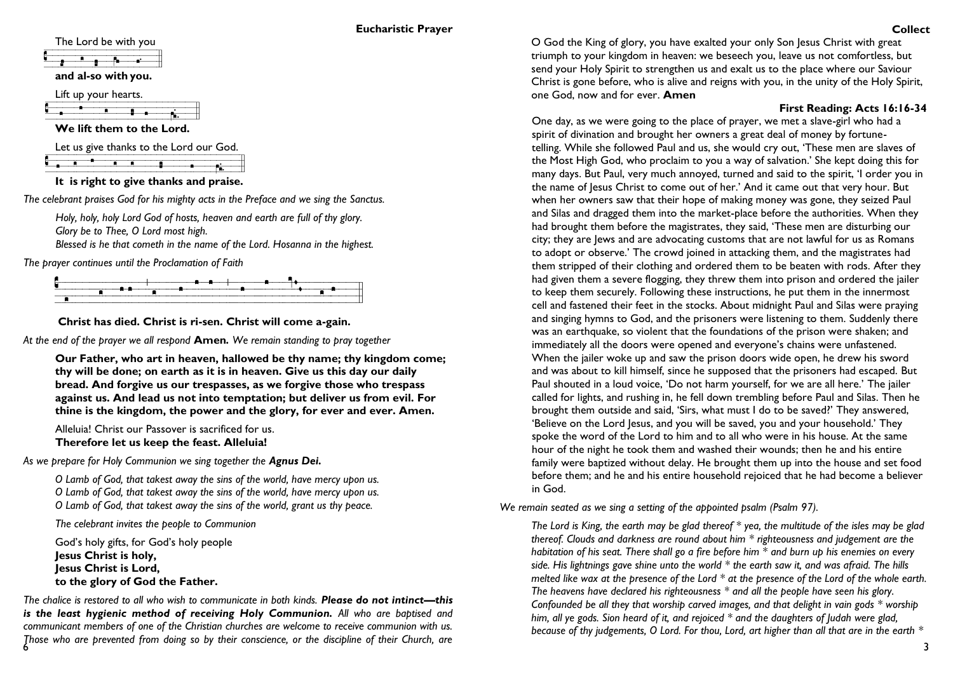#### **Eucharistic Prayer**

The Lord be with you

**a**<br>**and al-so with you.** 

Lift up your hearts.

**C**<br> **We lift them to the Lord.** 

Let us give thanks to the Lord our God.

|  |  |  |  |  | It is right to give thanks and praise.  |  |
|--|--|--|--|--|-----------------------------------------|--|
|  |  |  |  |  |                                         |  |
|  |  |  |  |  |                                         |  |
|  |  |  |  |  |                                         |  |
|  |  |  |  |  | Let us give thanks to the Lord our God. |  |

*The celebrant praises God for his mighty acts in the Preface and we sing the Sanctus.*

*Holy, holy, holy Lord God of hosts, heaven and earth are full of thy glory. Glory be to Thee, O Lord most high.*

*Blessed is he that cometh in the name of the Lord. Hosanna in the highest.* 

*The prayer continues until the Proclamation of Faith*



**Christ has died. Christ is ri-sen. Christ will come a-gain.**

*At the end of the prayer we all respond* **Amen***. We remain standing to pray together*

**Our Father, who art in heaven, hallowed be thy name; thy kingdom come; thy will be done; on earth as it is in heaven. Give us this day our daily bread. And forgive us our trespasses, as we forgive those who trespass against us. And lead us not into temptation; but deliver us from evil. For thine is the kingdom, the power and the glory, for ever and ever. Amen.**

Alleluia! Christ our Passover is sacrificed for us. **Therefore let us keep the feast. Alleluia!**

As we prepare for Holy Communion we sing together the **Agnus Dei.** 

*O Lamb of God, that takest away the sins of the world, have mercy upon us. O Lamb of God, that takest away the sins of the world, have mercy upon us. O Lamb of God, that takest away the sins of the world, grant us thy peace.*

*The celebrant invites the people to Communion*

God's holy gifts, for God's holy people **Jesus Christ is holy, Jesus Christ is Lord, to the glory of God the Father.**

6 *Those who are prevented from doing so by their conscience, or the discipline of their Church, are The chalice is restored to all who wish to communicate in both kinds. Please do not intinct—this is the least hygienic method of receiving Holy Communion. All who are baptised and communicant members of one of the Christian churches are welcome to receive communion with us.* 

O God the King of glory, you have exalted your only Son Jesus Christ with great triumph to your kingdom in heaven: we beseech you, leave us not comfortless, but send your Holy Spirit to strengthen us and exalt us to the place where our Saviour Christ is gone before, who is alive and reigns with you, in the unity of the Holy Spirit, one God, now and for ever. **Amen**

## **First Reading: Acts 16:16-34**

One day, as we were going to the place of prayer, we met a slave-girl who had a spirit of divination and brought her owners a great deal of money by fortunetelling. While she followed Paul and us, she would cry out, 'These men are slaves of the Most High God, who proclaim to you a way of salvation.' She kept doing this for many days. But Paul, very much annoyed, turned and said to the spirit, 'I order you in the name of Jesus Christ to come out of her.' And it came out that very hour. But when her owners saw that their hope of making money was gone, they seized Paul and Silas and dragged them into the market-place before the authorities. When they had brought them before the magistrates, they said, 'These men are disturbing our city; they are Jews and are advocating customs that are not lawful for us as Romans to adopt or observe.' The crowd joined in attacking them, and the magistrates had them stripped of their clothing and ordered them to be beaten with rods. After they had given them a severe flogging, they threw them into prison and ordered the jailer to keep them securely. Following these instructions, he put them in the innermost cell and fastened their feet in the stocks. About midnight Paul and Silas were praying and singing hymns to God, and the prisoners were listening to them. Suddenly there was an earthquake, so violent that the foundations of the prison were shaken; and immediately all the doors were opened and everyone's chains were unfastened. When the jailer woke up and saw the prison doors wide open, he drew his sword and was about to kill himself, since he supposed that the prisoners had escaped. But Paul shouted in a loud voice, 'Do not harm yourself, for we are all here.' The jailer called for lights, and rushing in, he fell down trembling before Paul and Silas. Then he brought them outside and said, 'Sirs, what must I do to be saved?' They answered, 'Believe on the Lord Jesus, and you will be saved, you and your household.' They spoke the word of the Lord to him and to all who were in his house. At the same hour of the night he took them and washed their wounds; then he and his entire family were baptized without delay. He brought them up into the house and set food before them; and he and his entire household rejoiced that he had become a believer in God.

*We remain seated as we sing a setting of the appointed psalm (Psalm 97).*

*The Lord is King, the earth may be glad thereof \* yea, the multitude of the isles may be glad thereof. Clouds and darkness are round about him \* righteousness and judgement are the habitation of his seat. There shall go a fire before him \* and burn up his enemies on every side. His lightnings gave shine unto the world \* the earth saw it, and was afraid. The hills melted like wax at the presence of the Lord \* at the presence of the Lord of the whole earth. The heavens have declared his righteousness \* and all the people have seen his glory. Confounded be all they that worship carved images, and that delight in vain gods \* worship him, all ye gods. Sion heard of it, and rejoiced \* and the daughters of Judah were glad, because of thy judgements, O Lord. For thou, Lord, art higher than all that are in the earth \**